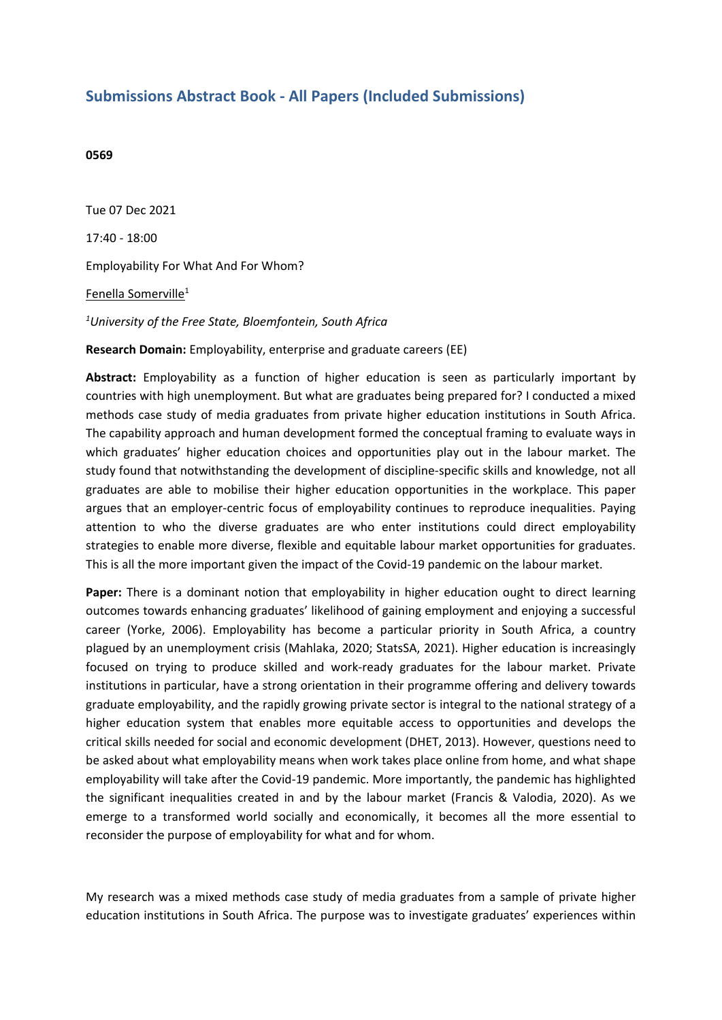## **Submissions Abstract Book - All Papers (Included Submissions)**

## **0569**

Tue 07 Dec 2021 17:40 - 18:00 Employability For What And For Whom? Fenella Somerville<sup>1</sup> *1 University of the Free State, Bloemfontein, South Africa*

**Research Domain:** Employability, enterprise and graduate careers (EE)

**Abstract:** Employability as <sup>a</sup> function of higher education is seen as particularly important by countries with high unemployment. But what are graduates being prepared for? I conducted <sup>a</sup> mixed methods case study of media graduates from private higher education institutions in South Africa. The capability approach and human development formed the conceptual framing to evaluate ways in which graduates' higher education choices and opportunities play out in the labour market. The study found that notwithstanding the development of discipline-specific skills and knowledge, not all graduates are able to mobilise their higher education opportunities in the workplace. This paper argues that an employer-centric focus of employability continues to reproduce inequalities. Paying attention to who the diverse graduates are who enter institutions could direct employability strategies to enable more diverse, flexible and equitable labour market opportunities for graduates. This is all the more important given the impact of the Covid-19 pandemic on the labour market.

**Paper:** There is <sup>a</sup> dominant notion that employability in higher education ought to direct learning outcomes towards enhancing graduates' likelihood of gaining employment and enjoying <sup>a</sup> successful career (Yorke, 2006). Employability has become <sup>a</sup> particular priority in South Africa, <sup>a</sup> country plagued by an unemployment crisis (Mahlaka, 2020; StatsSA, 2021). Higher education is increasingly focused on trying to produce skilled and work-ready graduates for the labour market. Private institutions in particular, have <sup>a</sup> strong orientation in their programme offering and delivery towards graduate employability, and the rapidly growing private sector is integral to the national strategy of <sup>a</sup> higher education system that enables more equitable access to opportunities and develops the critical skills needed for social and economic development (DHET, 2013). However, questions need to be asked about what employability means when work takes place online from home, and what shape employability will take after the Covid-19 pandemic. More importantly, the pandemic has highlighted the significant inequalities created in and by the labour market (Francis & Valodia, 2020). As we emerge to <sup>a</sup> transformed world socially and economically, it becomes all the more essential to reconsider the purpose of employability for what and for whom.

My research was <sup>a</sup> mixed methods case study of media graduates from <sup>a</sup> sample of private higher education institutions in South Africa. The purpose was to investigate graduates' experiences within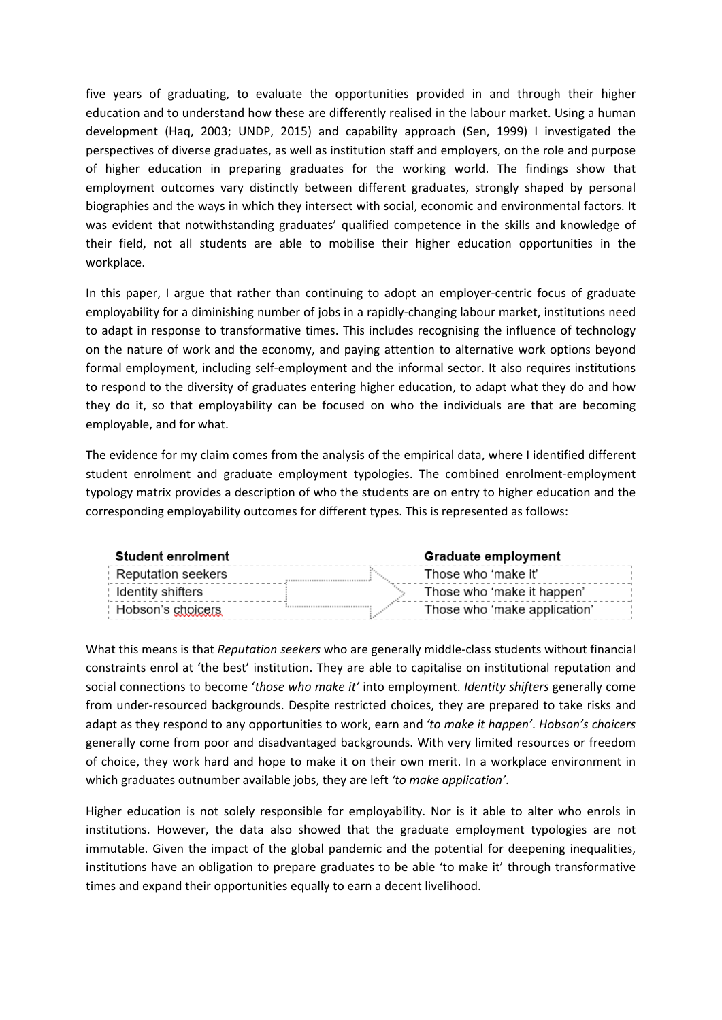five years of graduating, to evaluate the opportunities provided in and through their higher education and to understand how these are differently realised in the labour market. Using <sup>a</sup> human development (Haq, 2003; UNDP, 2015) and capability approach (Sen, 1999) I investigated the perspectives of diverse graduates, as well as institution staff and employers, on the role and purpose of higher education in preparing graduates for the working world. The findings show that employment outcomes vary distinctly between different graduates, strongly shaped by personal biographies and the ways in which they intersect with social, economic and environmental factors. It was evident that notwithstanding graduates' qualified competence in the skills and knowledge of their field, not all students are able to mobilise their higher education opportunities in the workplace.

In this paper, I argue that rather than continuing to adopt an employer-centric focus of graduate employability for <sup>a</sup> diminishing number of jobs in <sup>a</sup> rapidly-changing labour market, institutions need to adapt in response to transformative times. This includes recognising the influence of technology on the nature of work and the economy, and paying attention to alternative work options beyond formal employment, including self-employment and the informal sector. It also requires institutions to respond to the diversity of graduates entering higher education, to adapt what they do and how they do it, so that employability can be focused on who the individuals are that are becoming employable, and for what.

The evidence for my claim comes from the analysis of the empirical data, where I identified different student enrolment and graduate employment typologies. The combined enrolment-employment typology matrix provides <sup>a</sup> description of who the students are on entry to higher education and the corresponding employability outcomes for different types. This is represented as follows:

| <b>Student enrolment</b>  | <b>Graduate employment</b>   |  |
|---------------------------|------------------------------|--|
| <b>Reputation seekers</b> | Those who 'make it'          |  |
| Identity shifters         | Those who 'make it happen'   |  |
| Hobson's choicers         | Those who 'make application' |  |

What this means is that *Reputation seekers* who are generally middle-class students without financial constraints enrol at 'the best' institution. They are able to capitalise on institutional reputation and social connections to become '*those who make it'* into employment. *Identity shifters* generally come from under-resourced backgrounds. Despite restricted choices, they are prepared to take risks and adapt as they respond to any opportunities to work, earn and *'to make it happen'*. *Hobson's choicers* generally come from poor and disadvantaged backgrounds. With very limited resources or freedom of choice, they work hard and hope to make it on their own merit. In <sup>a</sup> workplace environment in which graduates outnumber available jobs, they are left *'to make application'*.

Higher education is not solely responsible for employability. Nor is it able to alter who enrols in institutions. However, the data also showed that the graduate employment typologies are not immutable. Given the impact of the global pandemic and the potential for deepening inequalities, institutions have an obligation to prepare graduates to be able 'to make it' through transformative times and expand their opportunities equally to earn <sup>a</sup> decent livelihood.